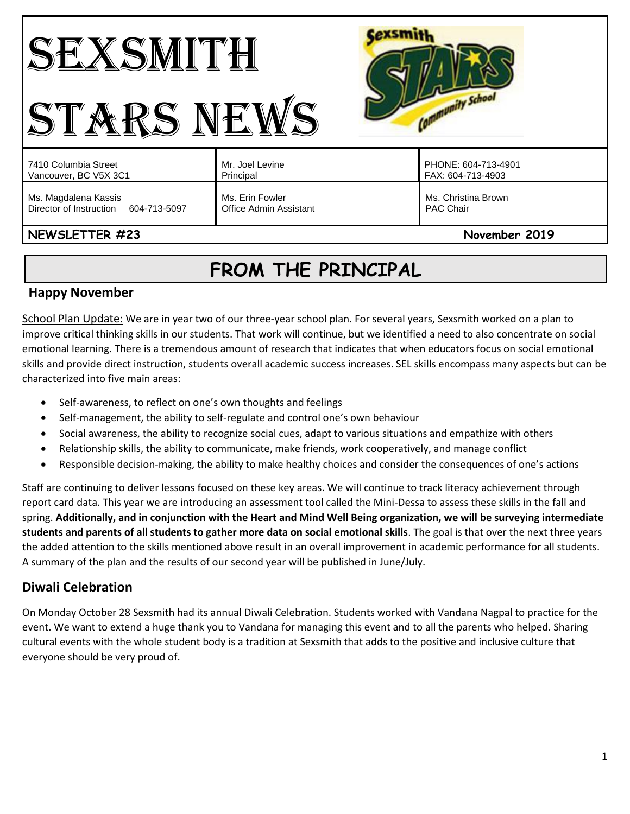# SEXSMITH STARS NEWS



| 7410 Columbia Street                                            | Mr. Joel Levine                           | PHONE: 604-713-4901                     |
|-----------------------------------------------------------------|-------------------------------------------|-----------------------------------------|
| Vancouver, BC V5X 3C1                                           | Principal                                 | FAX: 604-713-4903                       |
| Ms. Magdalena Kassis<br>Director of Instruction<br>604-713-5097 | Ms. Erin Fowler<br>Office Admin Assistant | Ms. Christina Brown<br><b>PAC Chair</b> |

# **NEWSLETTER #23** November 2019

# **FROM THE PRINCIPAL**

### **Happy November**

School Plan Update: We are in year two of our three-year school plan. For several years, Sexsmith worked on a plan to improve critical thinking skills in our students. That work will continue, but we identified a need to also concentrate on social emotional learning. There is a tremendous amount of research that indicates that when educators focus on social emotional skills and provide direct instruction, students overall academic success increases. SEL skills encompass many aspects but can be characterized into five main areas:

- Self-awareness, to reflect on one's own thoughts and feelings
- Self-management, the ability to self-regulate and control one's own behaviour
- Social awareness, the ability to recognize social cues, adapt to various situations and empathize with others
- Relationship skills, the ability to communicate, make friends, work cooperatively, and manage conflict
- Responsible decision-making, the ability to make healthy choices and consider the consequences of one's actions

Staff are continuing to deliver lessons focused on these key areas. We will continue to track literacy achievement through report card data. This year we are introducing an assessment tool called the Mini-Dessa to assess these skills in the fall and spring. **Additionally, and in conjunction with the Heart and Mind Well Being organization, we will be surveying intermediate students and parents of all students to gather more data on social emotional skills**. The goal is that over the next three years the added attention to the skills mentioned above result in an overall improvement in academic performance for all students. A summary of the plan and the results of our second year will be published in June/July.

# **Diwali Celebration**

On Monday October 28 Sexsmith had its annual Diwali Celebration. Students worked with Vandana Nagpal to practice for the event. We want to extend a huge thank you to Vandana for managing this event and to all the parents who helped. Sharing cultural events with the whole student body is a tradition at Sexsmith that adds to the positive and inclusive culture that everyone should be very proud of.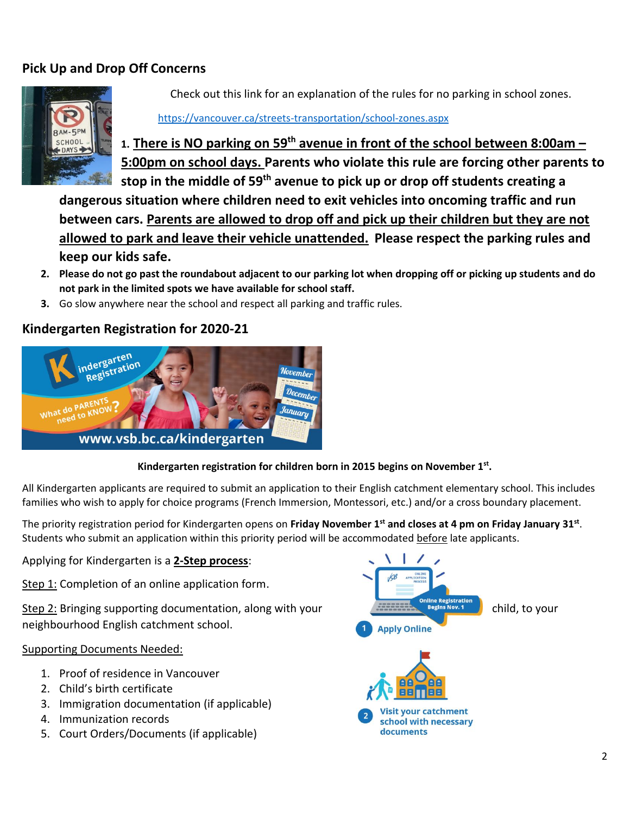# **Pick Up and Drop Off Concerns**



Check out this link for an explanation of the rules for no parking in school zones.

#### <https://vancouver.ca/streets-transportation/school-zones.aspx>

**1. There is NO parking on 59th avenue in front of the school between 8:00am – 5:00pm on school days. Parents who violate this rule are forcing other parents to stop in the middle of 59th avenue to pick up or drop off students creating a** 

**dangerous situation where children need to exit vehicles into oncoming traffic and run between cars. Parents are allowed to drop off and pick up their children but they are not allowed to park and leave their vehicle unattended. Please respect the parking rules and keep our kids safe.**

- **2. Please do not go past the roundabout adjacent to our parking lot when dropping off or picking up students and do not park in the limited spots we have available for school staff.**
- **3.** Go slow anywhere near the school and respect all parking and traffic rules.

#### **Kindergarten Registration for 2020-21**



#### **Kindergarten registration for children born in 2015 begins on November 1st .**

All Kindergarten applicants are required to submit an application to their English catchment elementary school. This includes families who wish to apply for choice programs (French Immersion, Montessori, etc.) and/or a cross boundary placement.

The priority registration period for Kindergarten opens on **Friday November 1st and closes at 4 pm on Friday January 31st** . Students who submit an application within this priority period will be accommodated before late applicants.

Applying for Kindergarten is a **2-Step process**:

Step 1: Completion of an online application form.

neighbourhood English catchment school.

#### Supporting Documents Needed:

- 1. Proof of residence in Vancouver
- 2. Child's birth certificate
- 3. Immigration documentation (if applicable)
- 4. Immunization records
- 5. Court Orders/Documents (if applicable)

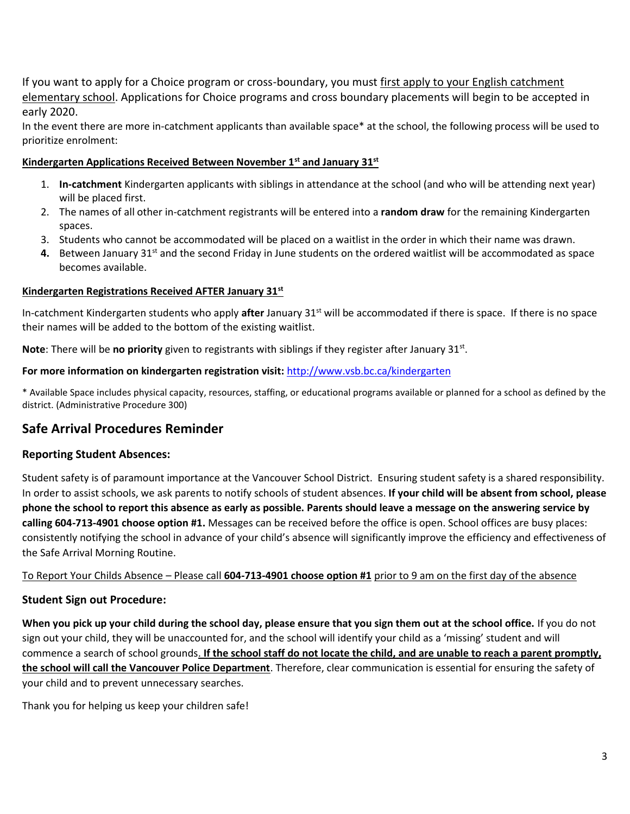If you want to apply for a Choice program or cross-boundary, you must first apply to your English catchment elementary school. Applications for Choice programs and cross boundary placements will begin to be accepted in early 2020.

In the event there are more in-catchment applicants than available space\* at the school, the following process will be used to prioritize enrolment:

#### **Kindergarten Applications Received Between November 1st and January 31st**

- 1. **In-catchment** Kindergarten applicants with siblings in attendance at the school (and who will be attending next year) will be placed first.
- 2. The names of all other in-catchment registrants will be entered into a **random draw** for the remaining Kindergarten spaces.
- 3. Students who cannot be accommodated will be placed on a waitlist in the order in which their name was drawn.
- **4.** Between January 31<sup>st</sup> and the second Friday in June students on the ordered waitlist will be accommodated as space becomes available.

#### **Kindergarten Registrations Received AFTER January 31st**

In-catchment Kindergarten students who apply **after** January 31st will be accommodated if there is space. If there is no space their names will be added to the bottom of the existing waitlist.

Note: There will be no priority given to registrants with siblings if they register after January 31st.

#### **For more information on kindergarten registration visit:** <http://www.vsb.bc.ca/kindergarten>

\* Available Space includes physical capacity, resources, staffing, or educational programs available or planned for a school as defined by the district. (Administrative Procedure 300)

#### **Safe Arrival Procedures Reminder**

#### **Reporting Student Absences:**

Student safety is of paramount importance at the Vancouver School District. Ensuring student safety is a shared responsibility. In order to assist schools, we ask parents to notify schools of student absences. **If your child will be absent from school, please phone the school to report this absence as early as possible. Parents should leave a message on the answering service by calling 604-713-4901 choose option #1.** Messages can be received before the office is open. School offices are busy places: consistently notifying the school in advance of your child's absence will significantly improve the efficiency and effectiveness of the Safe Arrival Morning Routine.

To Report Your Childs Absence – Please call **604-713-4901 choose option #1** prior to 9 am on the first day of the absence

#### **Student Sign out Procedure:**

**When you pick up your child during the school day, please ensure that you sign them out at the school office.** If you do not sign out your child, they will be unaccounted for, and the school will identify your child as a 'missing' student and will commence a search of school grounds. **If the school staff do not locate the child, and are unable to reach a parent promptly, the school will call the Vancouver Police Department**. Therefore, clear communication is essential for ensuring the safety of your child and to prevent unnecessary searches.

Thank you for helping us keep your children safe!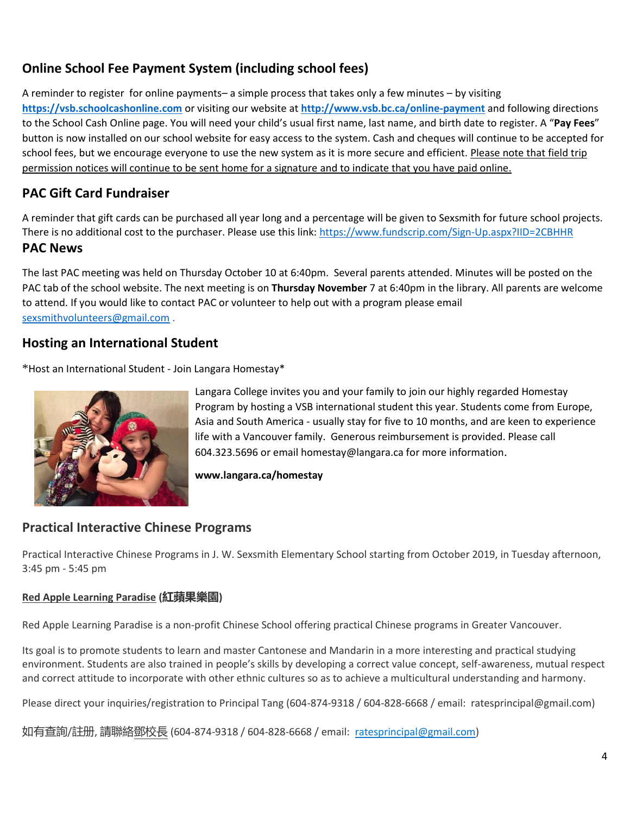# **Online School Fee Payment System (including school fees)**

A reminder to register for online payments– a simple process that takes only a few minutes – by visiting **[https://vsb.schoolcashonline.com](https://vsb.schoolcashonline.com/)** or visiting our website at **<http://www.vsb.bc.ca/online-payment>** and following directions to the School Cash Online page. You will need your child's usual first name, last name, and birth date to register. A "**Pay Fees**" button is now installed on our school website for easy access to the system. Cash and cheques will continue to be accepted for school fees, but we encourage everyone to use the new system as it is more secure and efficient. Please note that field trip permission notices will continue to be sent home for a signature and to indicate that you have paid online.

## **PAC Gift Card Fundraiser**

A reminder that gift cards can be purchased all year long and a percentage will be given to Sexsmith for future school projects. There is no additional cost to the purchaser. Please use this link:<https://www.fundscrip.com/Sign-Up.aspx?IID=2CBHHR>

#### **PAC News**

The last PAC meeting was held on Thursday October 10 at 6:40pm. Several parents attended. Minutes will be posted on the PAC tab of the school website. The next meeting is on **Thursday November** 7 at 6:40pm in the library. All parents are welcome to attend. If you would like to contact PAC or volunteer to help out with a program please email [sexsmithvolunteers@gmail.com](mailto:sexsmithvolunteers@gmail.com) .

### **Hosting an International Student**

\*Host an International Student - Join Langara Homestay\*



Langara College invites you and your family to join our highly regarded Homestay Program by hosting a VSB international student this year. Students come from Europe, Asia and South America - usually stay for five to 10 months, and are keen to experience life with a Vancouver family. Generous reimbursement is provided. Please call 604.323.5696 or email homestay@langara.ca for more information.

**www.langara.ca/homestay**

### **Practical Interactive Chinese Programs**

Practical Interactive Chinese Programs in J. W. Sexsmith Elementary School starting from October 2019, in Tuesday afternoon, 3:45 pm - 5:45 pm

#### **Red Apple Learning Paradise (紅蘋果樂園)**

Red Apple Learning Paradise is a non-profit Chinese School offering practical Chinese programs in Greater Vancouver.

Its goal is to promote students to learn and master Cantonese and Mandarin in a more interesting and practical studying environment. Students are also trained in people's skills by developing a correct value concept, self-awareness, mutual respect and correct attitude to incorporate with other ethnic cultures so as to achieve a multicultural understanding and harmony.

Please direct your inquiries/registration to Principal Tang (604-874-9318 / 604-828-6668 / email: ratesprincipal@gmail.com)

如有查詢/註册, 請聯絡鄧校長 (604-874-9318 / 604-828-6668 / email: <u>ratesprincipal@gmail.com</u>)